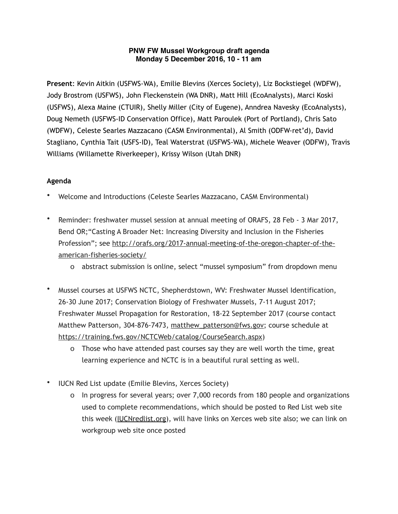## **PNW FW Mussel Workgroup draft agenda Monday 5 December 2016, 10 - 11 am**

**Present**: Kevin Aitkin (USFWS-WA), Emilie Blevins (Xerces Society), Liz Bockstiegel (WDFW), Jody Brostrom (USFWS), John Fleckenstein (WA DNR), Matt Hill (EcoAnalysts), Marci Koski (USFWS), Alexa Maine (CTUIR), Shelly Miller (City of Eugene), Anndrea Navesky (EcoAnalysts), Doug Nemeth (USFWS-ID Conservation Office), Matt Paroulek (Port of Portland), Chris Sato (WDFW), Celeste Searles Mazzacano (CASM Environmental), Al Smith (ODFW-ret'd), David Stagliano, Cynthia Tait (USFS-ID), Teal Waterstrat (USFWS-WA), Michele Weaver (ODFW), Travis Williams (Willamette Riverkeeper), Krissy Wilson (Utah DNR)

## **Agenda**

- Welcome and Introductions (Celeste Searles Mazzacano, CASM Environmental)
- Reminder: freshwater mussel session at annual meeting of ORAFS, 28 Feb 3 Mar 2017, Bend OR;"Casting A Broader Net: Increasing Diversity and Inclusion in the Fisheries Profession"; see [http://orafs.org/2017-annual-meeting-of-the-oregon-chapter-of-the](http://orafs.org/2017-annual-meeting-of-the-oregon-chapter-of-the-american-fisheries-society/)[american-fisheries-society/](http://orafs.org/2017-annual-meeting-of-the-oregon-chapter-of-the-american-fisheries-society/)
	- o abstract submission is online, select "mussel symposium" from dropdown menu
- Mussel courses at USFWS NCTC, Shepherdstown, WV: Freshwater Mussel Identification, 26-30 June 2017; Conservation Biology of Freshwater Mussels, 7-11 August 2017; Freshwater Mussel Propagation for Restoration, 18-22 September 2017 (course contact Matthew Patterson, 304-876-7473, [matthew\\_patterson@fws.gov;](mailto:matthew_patterson@fws.gov) course schedule at [https://training.fws.gov/NCTCWeb/catalog/CourseSearch.aspx\)](https://training.fws.gov/NCTCWeb/catalog/CourseSearch.aspx)
	- o Those who have attended past courses say they are well worth the time, great learning experience and NCTC is in a beautiful rural setting as well.
- IUCN Red List update (Emilie Blevins, Xerces Society)
	- o In progress for several years; over 7,000 records from 180 people and organizations used to complete recommendations, which should be posted to Red List web site this week [\(IUCNredlist.org\)](http://IUCNredlist.org), will have links on Xerces web site also; we can link on workgroup web site once posted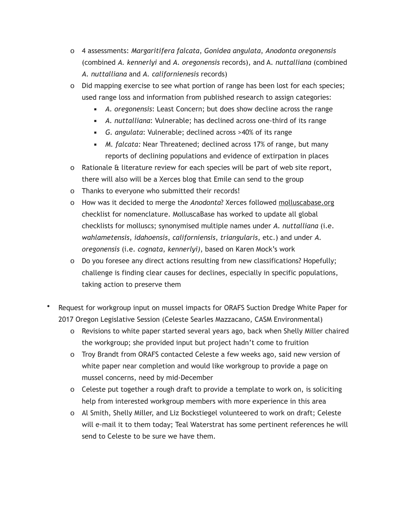- o 4 assessments: *Margaritifera falcata*, *Gonidea angulata*, *Anodonta oregonensis* (combined *A. kennerlyi* and *A. oregonensis* records), and A. *nuttalliana* (combined *A. nuttalliana* and *A. californienesis* records)
- o Did mapping exercise to see what portion of range has been lost for each species; used range loss and information from published research to assign categories:
	- *A. oregonensis*: Least Concern; but does show decline across the range
	- *A. nuttalliana*: Vulnerable; has declined across one-third of its range
	- *G. angulata*: Vulnerable; declined across >40% of its range
	- *M. falcata:* Near Threatened; declined across 17% of range, but many reports of declining populations and evidence of extirpation in places
- o Rationale & literature review for each species will be part of web site report, there will also will be a Xerces blog that Emile can send to the group
- o Thanks to everyone who submitted their records!
- o How was it decided to merge the *Anodonta*? Xerces followed [molluscabase.org](http://molluscabase.org) checklist for nomenclature. MolluscaBase has worked to update all global checklists for molluscs; synonymised multiple names under *A. nuttalliana* (i.e. *wahlametensis*, *idahoensis*, *californiensis*, *triangularis*, etc.) and under *A. oregonensis* (i.e. *cognata*, *kennerlyi)*, based on Karen Mock's work
- o Do you foresee any direct actions resulting from new classifications? Hopefully; challenge is finding clear causes for declines, especially in specific populations, taking action to preserve them
- Request for workgroup input on mussel impacts for ORAFS Suction Dredge White Paper for 2017 Oregon Legislative Session (Celeste Searles Mazzacano, CASM Environmental)
	- o Revisions to white paper started several years ago, back when Shelly Miller chaired the workgroup; she provided input but project hadn't come to fruition
	- o Troy Brandt from ORAFS contacted Celeste a few weeks ago, said new version of white paper near completion and would like workgroup to provide a page on mussel concerns, need by mid-December
	- o Celeste put together a rough draft to provide a template to work on, is soliciting help from interested workgroup members with more experience in this area
	- o Al Smith, Shelly Miller, and Liz Bockstiegel volunteered to work on draft; Celeste will e-mail it to them today; Teal Waterstrat has some pertinent references he will send to Celeste to be sure we have them.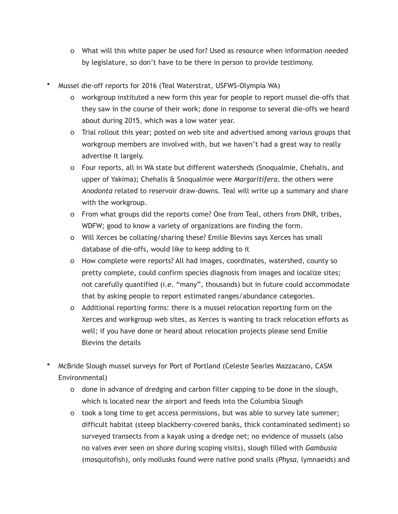- o What will this white paper be used for? Used as resource when information needed by legislature, so don't have to be there in person to provide testimony.
- Mussel die-off reports for 2016 (Teal Waterstrat, USFWS-Olympia WA)
	- o workgroup instituted a new form this year for people to report mussel die-offs that they saw in the course of their work; done in response to several die-offs we heard about during 2015, which was a low water year.
	- o Trial rollout this year; posted on web site and advertised among various groups that workgroup members are involved with, but we haven't had a great way to really advertise it largely.
	- o Four reports, all in WA state but different watersheds (Snoqualmie, Chehalis, and upper of Yakima); Chehalis & Snoqualmie were *Margaritifera*, the others were *Anodonta* related to reservoir draw-downs. Teal will write up a summary and share with the workgroup.
	- o From what groups did the reports come? One from Teal, others from DNR, tribes, WDFW; good to know a variety of organizations are finding the form.
	- o Will Xerces be collating/sharing these? Emilie Blevins says Xerces has small database of die-offs, would like to keep adding to it
	- o How complete were reports? All had images, coordinates, watershed, county so pretty complete, could confirm species diagnosis from images and localize sites; not carefully quantified (i.e. "many", thousands) but in future could accommodate that by asking people to report estimated ranges/abundance categories.
	- o Additional reporting forms: there is a mussel relocation reporting form on the Xerces and workgroup web sites, as Xerces is wanting to track relocation efforts as well; if you have done or heard about relocation projects please send Emilie Blevins the details
- McBride Slough mussel surveys for Port of Portland (Celeste Searles Mazzacano, CASM Environmental)
	- o done in advance of dredging and carbon filter capping to be done in the slough, which is located near the airport and feeds into the Columbia Slough
	- o took a long time to get access permissions, but was able to survey late summer; difficult habitat (steep blackberry-covered banks, thick contaminated sediment) so surveyed transects from a kayak using a dredge net; no evidence of mussels (also no valves ever seen on shore during scoping visits), slough filled with *Gambusia* (mosquitofish), only mollusks found were native pond snails (*Physa*, lymnaeids) and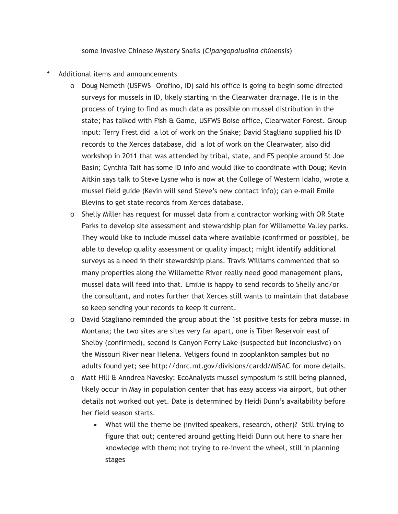some invasive Chinese Mystery Snails (*Cipangopaludina chinensis*)

- Additional items and announcements
	- o Doug Nemeth (USFWS—Orofino, ID) said his office is going to begin some directed surveys for mussels in ID, likely starting in the Clearwater drainage. He is in the process of trying to find as much data as possible on mussel distribution in the state; has talked with Fish & Game, USFWS Boise office, Clearwater Forest. Group input: Terry Frest did a lot of work on the Snake; David Stagliano supplied his ID records to the Xerces database, did a lot of work on the Clearwater, also did workshop in 2011 that was attended by tribal, state, and FS people around St Joe Basin; Cynthia Tait has some ID info and would like to coordinate with Doug; Kevin Aitkin says talk to Steve Lysne who is now at the College of Western Idaho, wrote a mussel field guide (Kevin will send Steve's new contact info); can e-mail Emile Blevins to get state records from Xerces database.
	- o Shelly Miller has request for mussel data from a contractor working with OR State Parks to develop site assessment and stewardship plan for Willamette Valley parks. They would like to include mussel data where available (confirmed or possible), be able to develop quality assessment or quality impact; might identify additional surveys as a need in their stewardship plans. Travis Williams commented that so many properties along the Willamette River really need good management plans, mussel data will feed into that. Emilie is happy to send records to Shelly and/or the consultant, and notes further that Xerces still wants to maintain that database so keep sending your records to keep it current.
	- o David Stagliano reminded the group about the 1st positive tests for zebra mussel in Montana; the two sites are sites very far apart, one is Tiber Reservoir east of Shelby (confirmed), second is Canyon Ferry Lake (suspected but inconclusive) on the Missouri River near Helena. Veligers found in zooplankton samples but no adults found yet; see <http://dnrc.mt.gov/divisions/cardd/MISAC> for more details.
	- o Matt Hill & Anndrea Navesky: EcoAnalysts mussel symposium is still being planned, likely occur in May in population center that has easy access via airport, but other details not worked out yet. Date is determined by Heidi Dunn's availability before her field season starts.
		- **■** What will the theme be (invited speakers, research, other)? Still trying to figure that out; centered around getting Heidi Dunn out here to share her knowledge with them; not trying to re-invent the wheel, still in planning stages